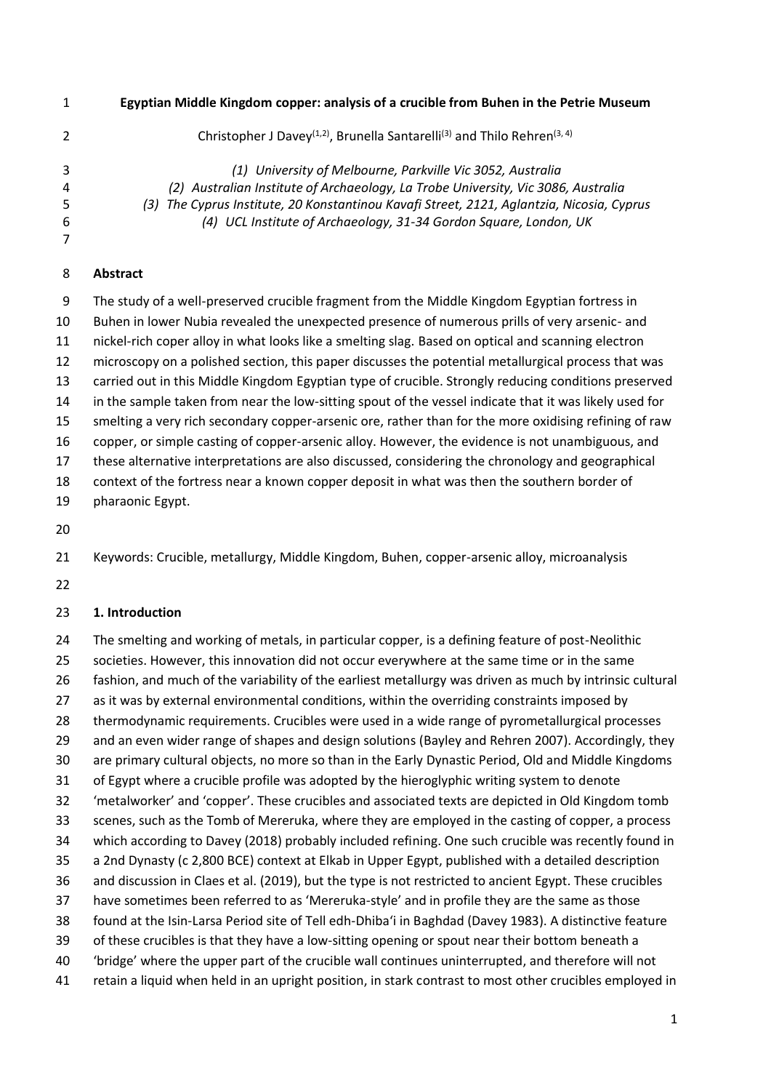**Egyptian Middle Kingdom copper: analysis of a crucible from Buhen in the Petrie Museum** 

| Christopher J Davey <sup>(1,2)</sup> , Brunella Santarelli <sup>(3)</sup> and Thilo Rehren <sup>(3, 4)</sup><br>2 |  |
|-------------------------------------------------------------------------------------------------------------------|--|
| 3<br>(1) University of Melbourne, Parkville Vic 3052, Australia                                                   |  |
| (2) Australian Institute of Archaeology, La Trobe University, Vic 3086, Australia<br>4                            |  |
| (3) The Cyprus Institute, 20 Konstantinou Kavafi Street, 2121, Aglantzia, Nicosia, Cyprus<br>5                    |  |
| (4) UCL Institute of Archaeology, 31-34 Gordon Square, London, UK<br>6                                            |  |
| 7                                                                                                                 |  |

## **Abstract**

 The study of a well-preserved crucible fragment from the Middle Kingdom Egyptian fortress in Buhen in lower Nubia revealed the unexpected presence of numerous prills of very arsenic- and nickel-rich coper alloy in what looks like a smelting slag. Based on optical and scanning electron microscopy on a polished section, this paper discusses the potential metallurgical process that was carried out in this Middle Kingdom Egyptian type of crucible. Strongly reducing conditions preserved in the sample taken from near the low-sitting spout of the vessel indicate that it was likely used for smelting a very rich secondary copper-arsenic ore, rather than for the more oxidising refining of raw copper, or simple casting of copper-arsenic alloy. However, the evidence is not unambiguous, and these alternative interpretations are also discussed, considering the chronology and geographical context of the fortress near a known copper deposit in what was then the southern border of pharaonic Egypt.

Keywords: Crucible, metallurgy, Middle Kingdom, Buhen, copper-arsenic alloy, microanalysis

### **1. Introduction**

 The smelting and working of metals, in particular copper, is a defining feature of post-Neolithic societies. However, this innovation did not occur everywhere at the same time or in the same fashion, and much of the variability of the earliest metallurgy was driven as much by intrinsic cultural as it was by external environmental conditions, within the overriding constraints imposed by thermodynamic requirements. Crucibles were used in a wide range of pyrometallurgical processes and an even wider range of shapes and design solutions (Bayley and Rehren 2007). Accordingly, they are primary cultural objects, no more so than in the Early Dynastic Period, Old and Middle Kingdoms of Egypt where a crucible profile was adopted by the hieroglyphic writing system to denote 'metalworker' and 'copper'. These crucibles and associated texts are depicted in Old Kingdom tomb scenes, such as the Tomb of Mereruka, where they are employed in the casting of copper, a process which according to Davey (2018) probably included refining. One such crucible was recently found in a 2nd Dynasty (c 2,800 BCE) context at Elkab in Upper Egypt, published with a detailed description and discussion in Claes et al. (2019), but the type is not restricted to ancient Egypt. These crucibles have sometimes been referred to as 'Mereruka-style' and in profile they are the same as those found at the Isin-Larsa Period site of Tell edh-Dhiba'i in Baghdad (Davey 1983). A distinctive feature of these crucibles is that they have a low-sitting opening or spout near their bottom beneath a 'bridge' where the upper part of the crucible wall continues uninterrupted, and therefore will not retain a liquid when held in an upright position, in stark contrast to most other crucibles employed in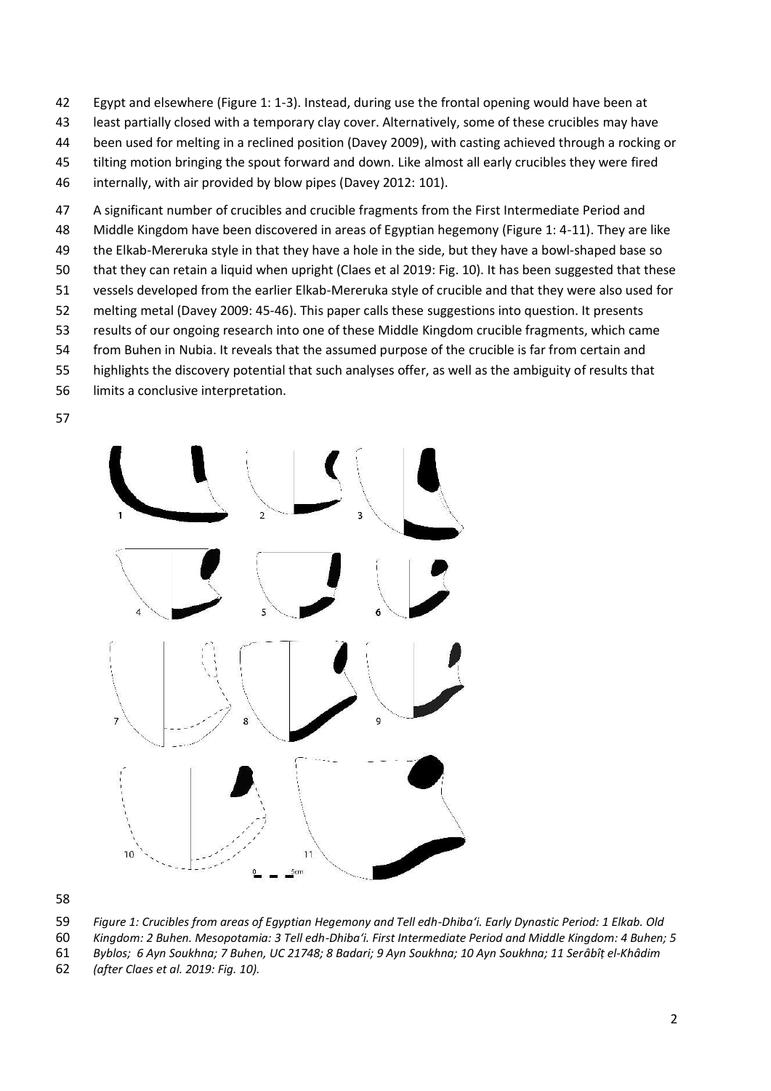- Egypt and elsewhere (Figure 1: 1-3). Instead, during use the frontal opening would have been at
- least partially closed with a temporary clay cover. Alternatively, some of these crucibles may have
- been used for melting in a reclined position (Davey 2009), with casting achieved through a rocking or
- tilting motion bringing the spout forward and down. Like almost all early crucibles they were fired
- internally, with air provided by blow pipes (Davey 2012: 101).
- A significant number of crucibles and crucible fragments from the First Intermediate Period and
- Middle Kingdom have been discovered in areas of Egyptian hegemony (Figure 1: 4-11). They are like
- the Elkab-Mereruka style in that they have a hole in the side, but they have a bowl-shaped base so
- that they can retain a liquid when upright (Claes et al 2019: Fig. 10). It has been suggested that these
- vessels developed from the earlier Elkab-Mereruka style of crucible and that they were also used for
- melting metal (Davey 2009: 45-46). This paper calls these suggestions into question. It presents
- results of our ongoing research into one of these Middle Kingdom crucible fragments, which came
- from Buhen in Nubia. It reveals that the assumed purpose of the crucible is far from certain and
- highlights the discovery potential that such analyses offer, as well as the ambiguity of results that
- limits a conclusive interpretation.
- 



*Figure 1: Crucibles from areas of Egyptian Hegemony and Tell edh-Dhiba'i. Early Dynastic Period: 1 Elkab. Old* 

- *Kingdom: 2 Buhen. Mesopotamia: 3 Tell edh-Dhiba'i. First Intermediate Period and Middle Kingdom: 4 Buhen; 5*
- *Byblos; 6 Ayn Soukhna; 7 Buhen, UC 21748; 8 Badari; 9 Ayn Soukhna; 10 Ayn Soukhna; 11 Serâbîṭ el-Khâdim*
- *(after Claes et al. 2019: Fig. 10).*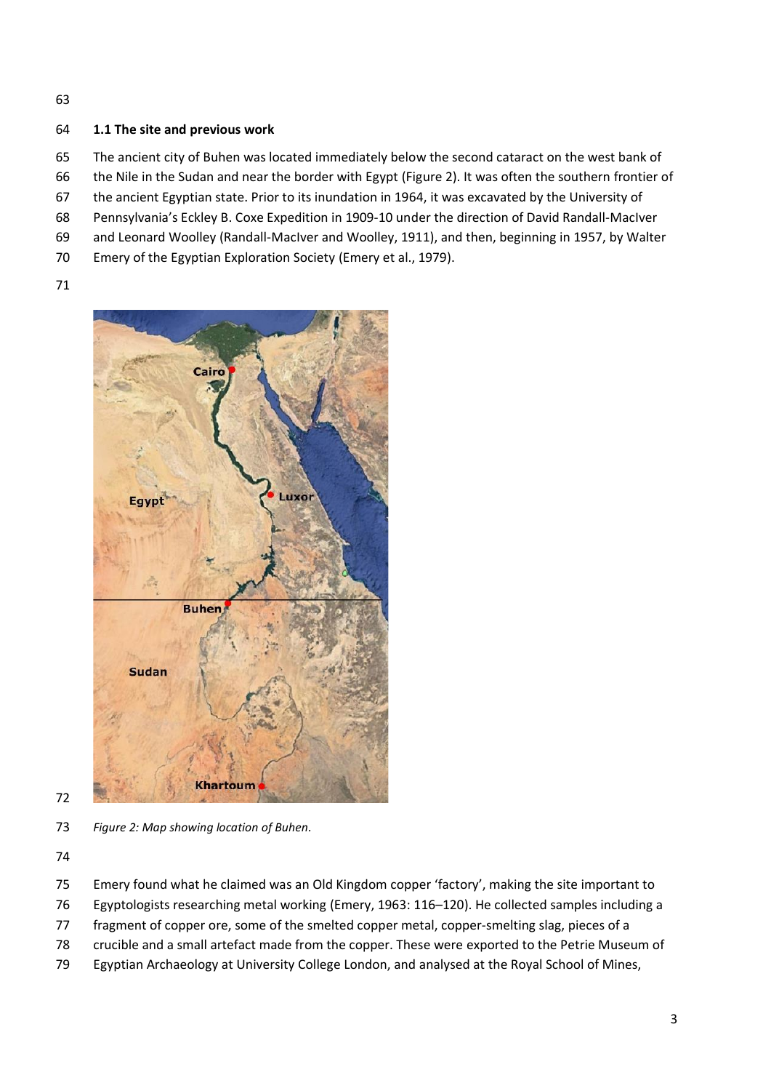## **1.1 The site and previous work**

The ancient city of Buhen was located immediately below the second cataract on the west bank of

- the Nile in the Sudan and near the border with Egypt (Figure 2). It was often the southern frontier of
- the ancient Egyptian state. Prior to its inundation in 1964, it was excavated by the University of
- Pennsylvania's Eckley B. Coxe Expedition in 1909-10 under the direction of David Randall-MacIver
- and Leonard Woolley (Randall-MacIver and Woolley, 1911), and then, beginning in 1957, by Walter
- Emery of the Egyptian Exploration Society (Emery et al., 1979).
- 



*Figure 2: Map showing location of Buhen.*

- Emery found what he claimed was an Old Kingdom copper 'factory', making the site important to
- Egyptologists researching metal working (Emery, 1963: 116–120). He collected samples including a
- fragment of copper ore, some of the smelted copper metal, copper-smelting slag, pieces of a
- crucible and a small artefact made from the copper. These were exported to the Petrie Museum of
- Egyptian Archaeology at University College London, and analysed at the Royal School of Mines,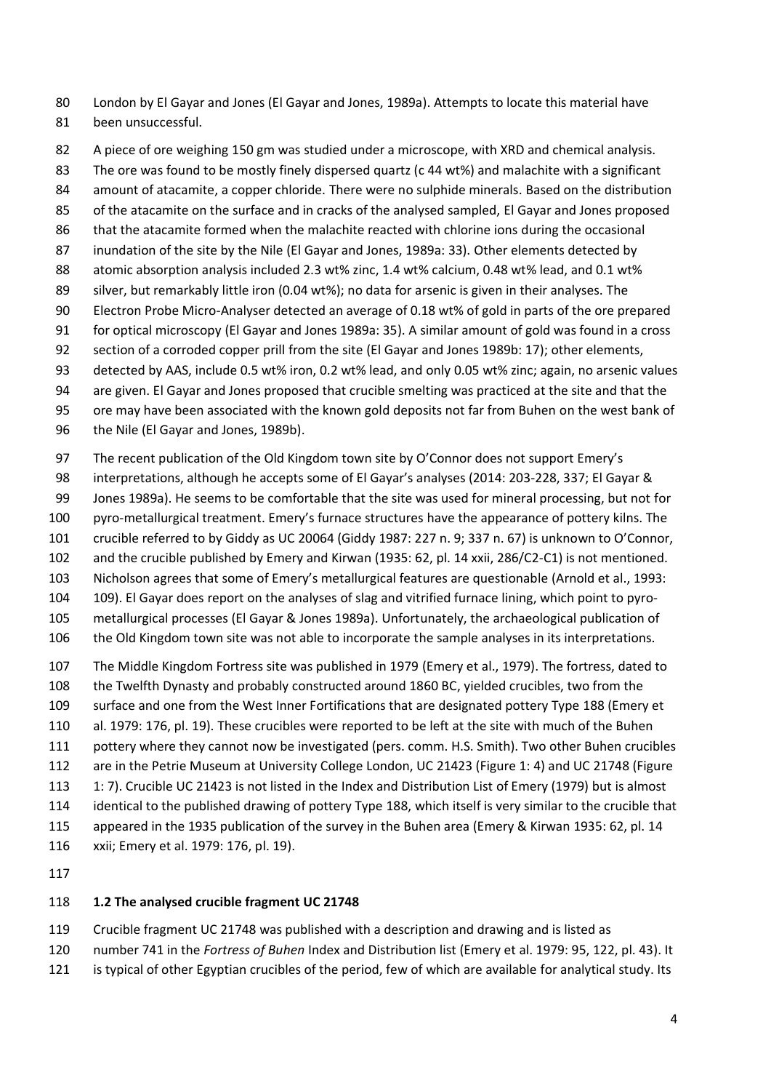London by El Gayar and Jones (El Gayar and Jones, 1989a). Attempts to locate this material have been unsuccessful.

 A piece of ore weighing 150 gm was studied under a microscope, with XRD and chemical analysis. The ore was found to be mostly finely dispersed quartz (c 44 wt%) and malachite with a significant amount of atacamite, a copper chloride. There were no sulphide minerals. Based on the distribution of the atacamite on the surface and in cracks of the analysed sampled, El Gayar and Jones proposed 86 that the atacamite formed when the malachite reacted with chlorine ions during the occasional inundation of the site by the Nile (El Gayar and Jones, 1989a: 33). Other elements detected by atomic absorption analysis included 2.3 wt% zinc, 1.4 wt% calcium, 0.48 wt% lead, and 0.1 wt% 89 silver, but remarkably little iron (0.04 wt%); no data for arsenic is given in their analyses. The Electron Probe Micro-Analyser detected an average of 0.18 wt% of gold in parts of the ore prepared for optical microscopy (El Gayar and Jones 1989a: 35). A similar amount of gold was found in a cross section of a corroded copper prill from the site (El Gayar and Jones 1989b: 17); other elements, detected by AAS, include 0.5 wt% iron, 0.2 wt% lead, and only 0.05 wt% zinc; again, no arsenic values are given. El Gayar and Jones proposed that crucible smelting was practiced at the site and that the ore may have been associated with the known gold deposits not far from Buhen on the west bank of

- 96 the Nile (El Gayar and Jones, 1989b).
- 97 The recent publication of the Old Kingdom town site by O'Connor does not support Emery's
- interpretations, although he accepts some of El Gayar's analyses (2014: 203-228, 337; El Gayar &
- Jones 1989a). He seems to be comfortable that the site was used for mineral processing, but not for
- pyro-metallurgical treatment. Emery's furnace structures have the appearance of pottery kilns. The
- crucible referred to by Giddy as UC 20064 (Giddy 1987: 227 n. 9; 337 n. 67) is unknown to O'Connor,
- and the crucible published by Emery and Kirwan (1935: 62, pl. 14 xxii, 286/C2-C1) is not mentioned.
- Nicholson agrees that some of Emery's metallurgical features are questionable (Arnold et al., 1993:
- 109). El Gayar does report on the analyses of slag and vitrified furnace lining, which point to pyro-
- metallurgical processes (El Gayar & Jones 1989a). Unfortunately, the archaeological publication of
- the Old Kingdom town site was not able to incorporate the sample analyses in its interpretations.
- The Middle Kingdom Fortress site was published in 1979 (Emery et al., 1979). The fortress, dated to the Twelfth Dynasty and probably constructed around 1860 BC, yielded crucibles, two from the
- surface and one from the West Inner Fortifications that are designated pottery Type 188 (Emery et
- al. 1979: 176, pl. 19). These crucibles were reported to be left at the site with much of the Buhen
- pottery where they cannot now be investigated (pers. comm. H.S. Smith). Two other Buhen crucibles
- are in the Petrie Museum at University College London, UC 21423 (Figure 1: 4) and UC 21748 (Figure
- 113 1: 7). Crucible UC 21423 is not listed in the Index and Distribution List of Emery (1979) but is almost
- identical to the published drawing of pottery Type 188, which itself is very similar to the crucible that
- appeared in the 1935 publication of the survey in the Buhen area (Emery & Kirwan 1935: 62, pl. 14
- xxii; Emery et al. 1979: 176, pl. 19).

### **1.2 The analysed crucible fragment UC 21748**

- Crucible fragment UC 21748 was published with a description and drawing and is listed as
- number 741 in the *Fortress of Buhen* Index and Distribution list (Emery et al. 1979: 95, 122, pl. 43). It
- is typical of other Egyptian crucibles of the period, few of which are available for analytical study. Its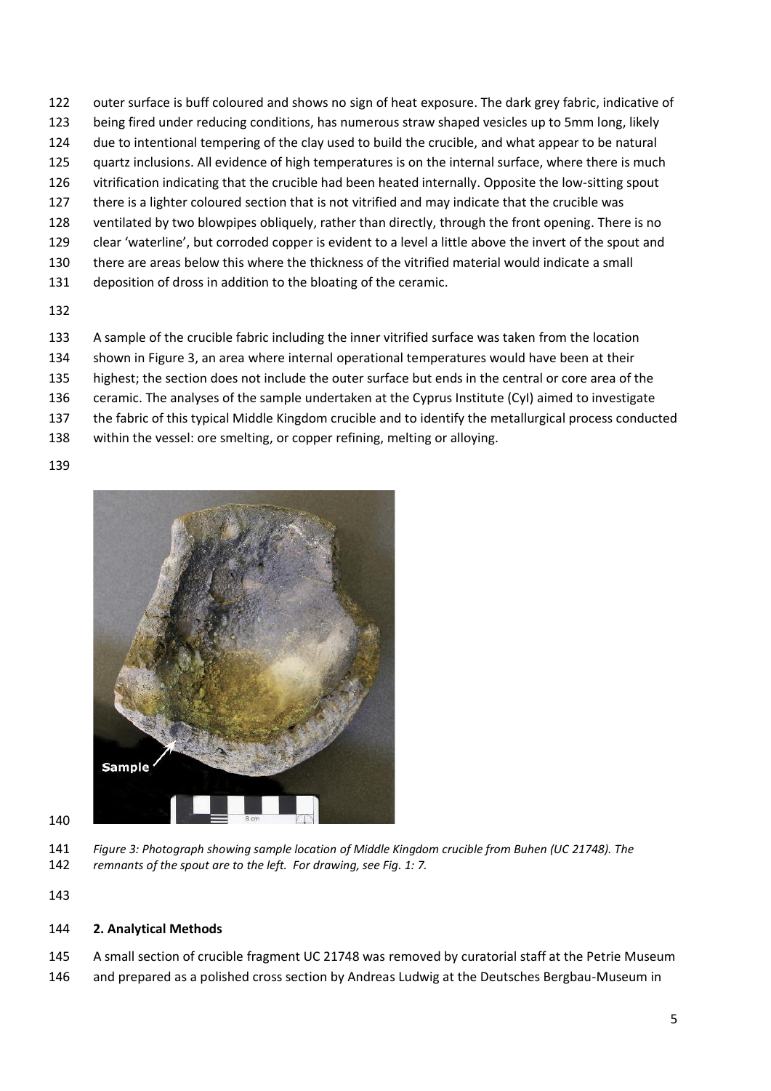- outer surface is buff coloured and shows no sign of heat exposure. The dark grey fabric, indicative of
- being fired under reducing conditions, has numerous straw shaped vesicles up to 5mm long, likely
- due to intentional tempering of the clay used to build the crucible, and what appear to be natural
- 125 quartz inclusions. All evidence of high temperatures is on the internal surface, where there is much vitrification indicating that the crucible had been heated internally. Opposite the low-sitting spout
- there is a lighter coloured section that is not vitrified and may indicate that the crucible was
- ventilated by two blowpipes obliquely, rather than directly, through the front opening. There is no
- clear 'waterline', but corroded copper is evident to a level a little above the invert of the spout and
- there are areas below this where the thickness of the vitrified material would indicate a small
- deposition of dross in addition to the bloating of the ceramic.
- 
- A sample of the crucible fabric including the inner vitrified surface was taken from the location
- shown in Figure 3, an area where internal operational temperatures would have been at their
- highest; the section does not include the outer surface but ends in the central or core area of the
- ceramic. The analyses of the sample undertaken at the Cyprus Institute (CyI) aimed to investigate
- the fabric of this typical Middle Kingdom crucible and to identify the metallurgical process conducted
- within the vessel: ore smelting, or copper refining, melting or alloying.
- 



- 
- *Figure 3: Photograph showing sample location of Middle Kingdom crucible from Buhen (UC 21748). The remnants of the spout are to the left. For drawing, see Fig. 1: 7.*
- 

# **2. Analytical Methods**

- A small section of crucible fragment UC 21748 was removed by curatorial staff at the Petrie Museum
- and prepared as a polished cross section by Andreas Ludwig at the Deutsches Bergbau-Museum in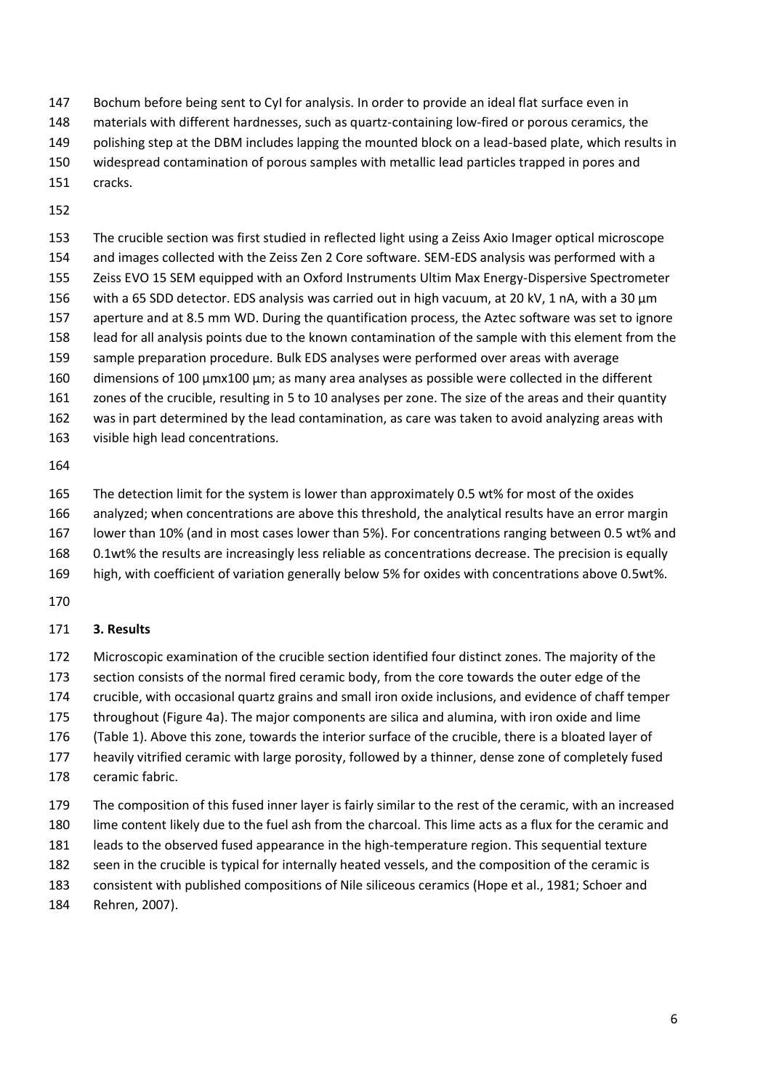- Bochum before being sent to CyI for analysis. In order to provide an ideal flat surface even in
- materials with different hardnesses, such as quartz-containing low-fired or porous ceramics, the
- polishing step at the DBM includes lapping the mounted block on a lead-based plate, which results in
- widespread contamination of porous samples with metallic lead particles trapped in pores and
- cracks.
- 

 The crucible section was first studied in reflected light using a Zeiss Axio Imager optical microscope and images collected with the Zeiss Zen 2 Core software. SEM-EDS analysis was performed with a Zeiss EVO 15 SEM equipped with an Oxford Instruments Ultim Max Energy-Dispersive Spectrometer 156 with a 65 SDD detector. EDS analysis was carried out in high vacuum, at 20 kV, 1 nA, with a 30 µm aperture and at 8.5 mm WD. During the quantification process, the Aztec software was set to ignore lead for all analysis points due to the known contamination of the sample with this element from the sample preparation procedure. Bulk EDS analyses were performed over areas with average dimensions of 100 µmx100 µm; as many area analyses as possible were collected in the different zones of the crucible, resulting in 5 to 10 analyses per zone. The size of the areas and their quantity was in part determined by the lead contamination, as care was taken to avoid analyzing areas with

visible high lead concentrations.

The detection limit for the system is lower than approximately 0.5 wt% for most of the oxides

- analyzed; when concentrations are above this threshold, the analytical results have an error margin
- lower than 10% (and in most cases lower than 5%). For concentrations ranging between 0.5 wt% and
- 0.1wt% the results are increasingly less reliable as concentrations decrease. The precision is equally
- high, with coefficient of variation generally below 5% for oxides with concentrations above 0.5wt%.
- 

# **3. Results**

Microscopic examination of the crucible section identified four distinct zones. The majority of the

- section consists of the normal fired ceramic body, from the core towards the outer edge of the
- crucible, with occasional quartz grains and small iron oxide inclusions, and evidence of chaff temper
- throughout (Figure 4a). The major components are silica and alumina, with iron oxide and lime
- [\(Table 1\)](#page-6-0). Above this zone, towards the interior surface of the crucible, there is a bloated layer of heavily vitrified ceramic with large porosity, followed by a thinner, dense zone of completely fused
- ceramic fabric.
- The composition of this fused inner layer is fairly similar to the rest of the ceramic, with an increased
- lime content likely due to the fuel ash from the charcoal. This lime acts as a flux for the ceramic and
- leads to the observed fused appearance in the high-temperature region. This sequential texture
- seen in the crucible is typical for internally heated vessels, and the composition of the ceramic is
- consistent with published compositions of Nile siliceous ceramics (Hope et al., 1981; Schoer and
- Rehren, 2007).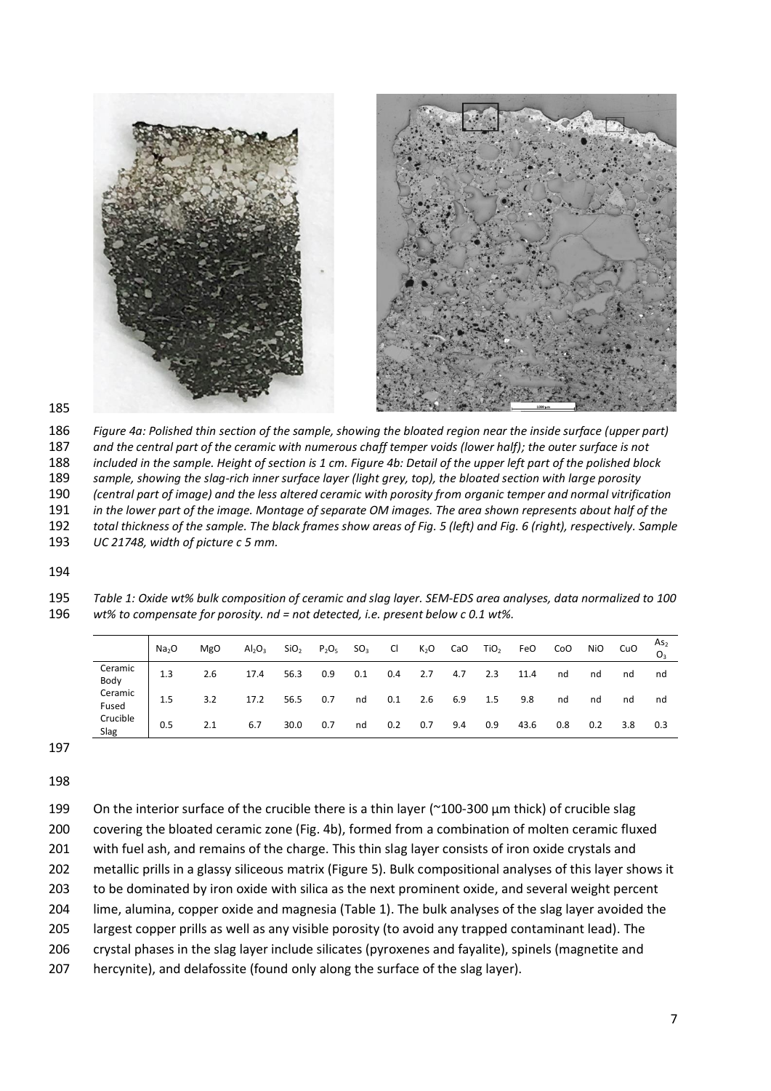

 *Figure 4a: Polished thin section of the sample, showing the bloated region near the inside surface (upper part) and the central part of the ceramic with numerous chaff temper voids (lower half); the outer surface is not included in the sample. Height of section is 1 cm. Figure 4b: Detail of the upper left part of the polished block*  sample, showing the slag-rich inner surface layer (light grey, top), the bloated section with large porosity *(central part of image) and the less altered ceramic with porosity from organic temper and normal vitrification in the lower part of the image. Montage of separate OM images. The area shown represents about half of the total thickness of the sample. The black frames show areas of Fig. 5 (left) and Fig. 6 (right), respectively. Sample UC 21748, width of picture c 5 mm.*

<span id="page-6-0"></span> *Table 1: Oxide wt% bulk composition of ceramic and slag layer. SEM-EDS area analyses, data normalized to 100 wt% to compensate for porosity. nd = not detected, i.e. present below c 0.1 wt%.*

|                  | Na <sub>2</sub> O | <b>MgO</b> | $Al_2O_3$ | SiO <sub>2</sub> | $P_2O_5$ | SO <sub>3</sub> | CI. |     | $K_2O$ CaO | TiO <sub>2</sub> | FeO  | CoO | <b>NiO</b> | CuO | As <sub>2</sub> |
|------------------|-------------------|------------|-----------|------------------|----------|-----------------|-----|-----|------------|------------------|------|-----|------------|-----|-----------------|
| Ceramic<br>Body  | 1.3               | 2.6        | 17.4      | 56.3             | 0.9      | 0.1             | 0.4 | 2.7 | 4.7        | 2.3              | 11.4 | nd  | nd         | nd  | nd              |
| Ceramic<br>Fused | 1.5               | 3.2        | 17.2      | 56.5             | 0.7      | nd              | 0.1 | 2.6 | 6.9        | 1.5              | 9.8  | nd  | nd         | nd  | nd              |
| Crucible<br>Slag | 0.5               | 2.1        | 6.7       | 30.0             | 0.7      | nd              | 0.2 | 0.7 | 9.4        | 0.9              | 43.6 | 0.8 | 0.2        | 3.8 | 0.3             |

| 199 | On the interior surface of the crucible there is a thin layer ( $\degree$ 100-300 $\mu$ m thick) of crucible slag |
|-----|-------------------------------------------------------------------------------------------------------------------|
| 200 | covering the bloated ceramic zone (Fig. 4b), formed from a combination of molten ceramic fluxed                   |
| 201 | with fuel ash, and remains of the charge. This thin slag layer consists of iron oxide crystals and                |
| 202 | metallic prills in a glassy siliceous matrix (Figure 5). Bulk compositional analyses of this layer shows it       |
| 203 | to be dominated by iron oxide with silica as the next prominent oxide, and several weight percent                 |
| 204 | lime, alumina, copper oxide and magnesia (Table 1). The bulk analyses of the slag layer avoided the               |
| 205 | largest copper prills as well as any visible porosity (to avoid any trapped contaminant lead). The                |
| 206 | crystal phases in the slag layer include silicates (pyroxenes and fayalite), spinels (magnetite and               |
| 207 | hercynite), and delafossite (found only along the surface of the slag layer).                                     |
|     |                                                                                                                   |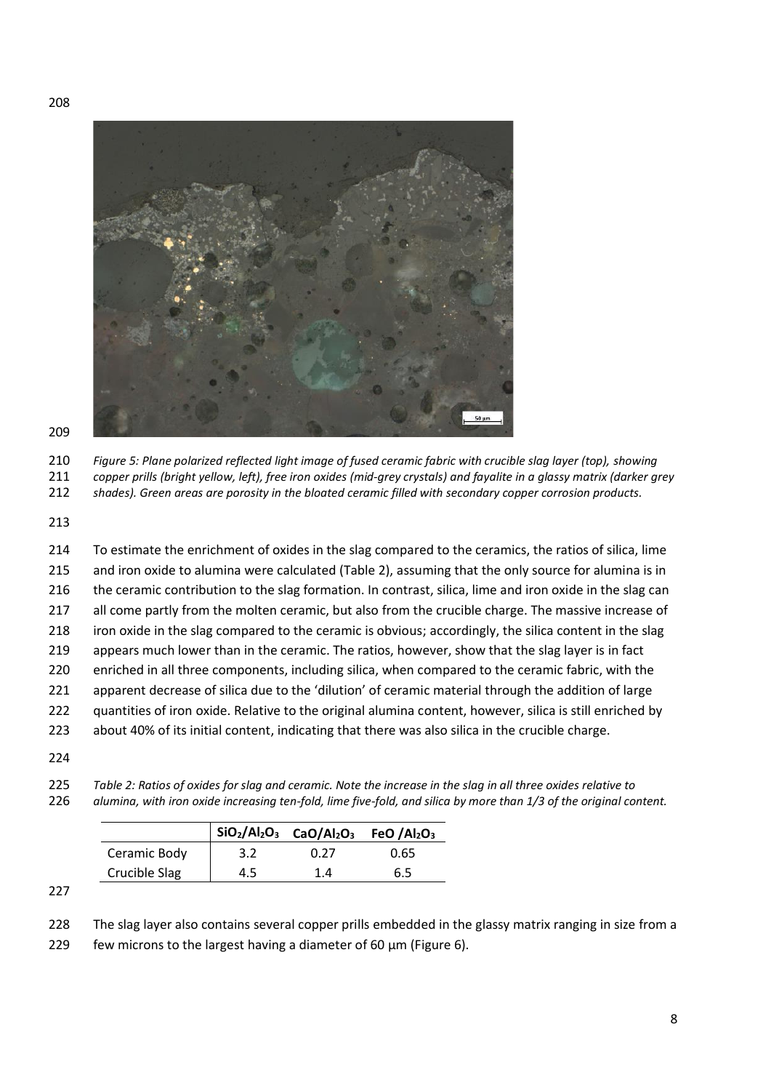

 *Figure 5: Plane polarized reflected light image of fused ceramic fabric with crucible slag layer (top), showing copper prills (bright yellow, left), free iron oxides (mid-grey crystals) and fayalite in a glassy matrix (darker grey* 

*shades). Green areas are porosity in the bloated ceramic filled with secondary copper corrosion products.*

 To estimate the enrichment of oxides in the slag compared to the ceramics, the ratios of silica, lime and iron oxide to alumina were calculated (Table 2), assuming that the only source for alumina is in the ceramic contribution to the slag formation. In contrast, silica, lime and iron oxide in the slag can all come partly from the molten ceramic, but also from the crucible charge. The massive increase of 218 iron oxide in the slag compared to the ceramic is obvious; accordingly, the silica content in the slag 219 appears much lower than in the ceramic. The ratios, however, show that the slag layer is in fact enriched in all three components, including silica, when compared to the ceramic fabric, with the apparent decrease of silica due to the 'dilution' of ceramic material through the addition of large 222 quantities of iron oxide. Relative to the original alumina content, however, silica is still enriched by about 40% of its initial content, indicating that there was also silica in the crucible charge. 

 *Table 2: Ratios of oxides for slag and ceramic. Note the increase in the slag in all three oxides relative to alumina, with iron oxide increasing ten-fold, lime five-fold, and silica by more than 1/3 of the original content.*

|               |     | $\vert$ SiO <sub>2</sub> /Al <sub>2</sub> O <sub>3</sub> CaO/Al <sub>2</sub> O <sub>3</sub> FeO/Al <sub>2</sub> O <sub>3</sub> |      |
|---------------|-----|--------------------------------------------------------------------------------------------------------------------------------|------|
| Ceramic Body  | 3.2 | 0.27                                                                                                                           | 0.65 |
| Crucible Slag | 4.5 | 14                                                                                                                             | 6.5  |

The slag layer also contains several copper prills embedded in the glassy matrix ranging in size from a

229 few microns to the largest having a diameter of 60  $\mu$ m (Figure 6).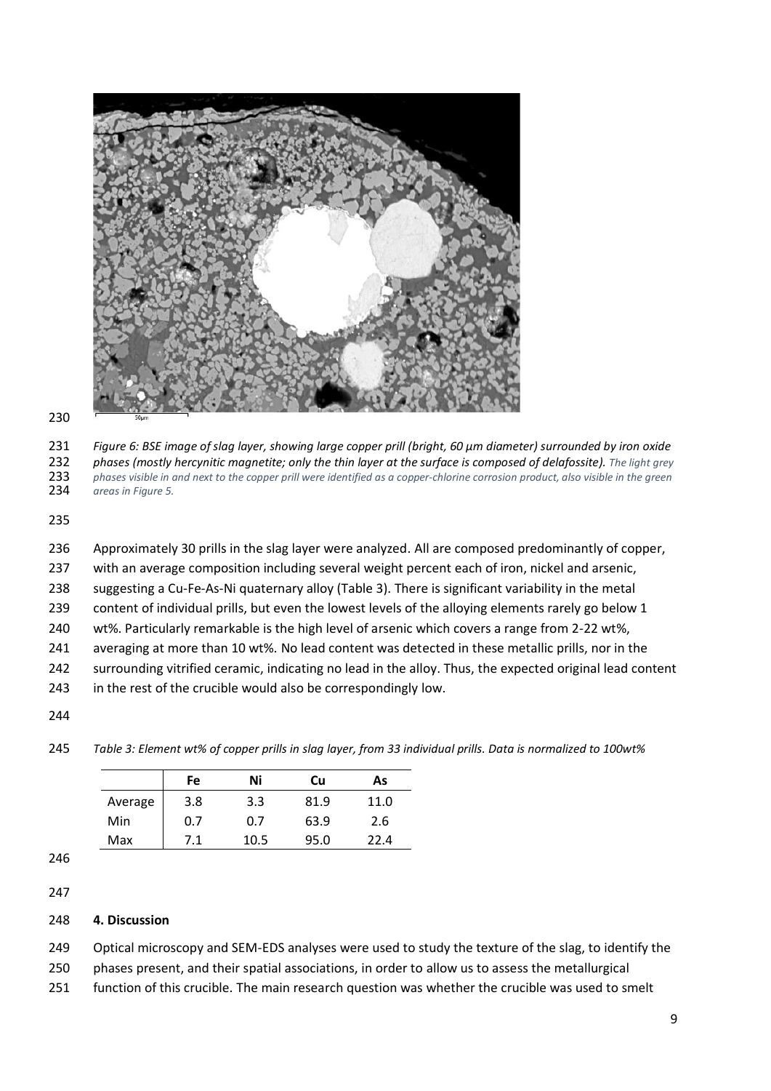

 *Figure 6: BSE image of slag layer, showing large copper prill (bright, 60 µm diameter) surrounded by iron oxide phases (mostly hercynitic magnetite; only the thin layer at the surface is composed of delafossite). The light grey phases visible in and next to the copper prill were identified as a copper-chlorine corrosion product, also visible in the green areas in Figure 5.*

 Approximately 30 prills in the slag layer were analyzed. All are composed predominantly of copper, with an average composition including several weight percent each of iron, nickel and arsenic, suggesting a Cu-Fe-As-Ni quaternary alloy (Table 3). There is significant variability in the metal content of individual prills, but even the lowest levels of the alloying elements rarely go below 1 wt%. Particularly remarkable is the high level of arsenic which covers a range from 2-22 wt%, averaging at more than 10 wt%. No lead content was detected in these metallic prills, nor in the surrounding vitrified ceramic, indicating no lead in the alloy. Thus, the expected original lead content in the rest of the crucible would also be correspondingly low.

*Table 3: Element wt% of copper prills in slag layer, from 33 individual prills. Data is normalized to 100wt%*

|         | Fe  | Ni   | Cu   | As   |
|---------|-----|------|------|------|
| Average | 3.8 | 3.3  | 81.9 | 11.0 |
| Min     | 0.7 | 0.7  | 63.9 | 2.6  |
| Max     | 7.1 | 10.5 | 95.0 | 22 A |

### **4. Discussion**

Optical microscopy and SEM-EDS analyses were used to study the texture of the slag, to identify the

phases present, and their spatial associations, in order to allow us to assess the metallurgical

function of this crucible. The main research question was whether the crucible was used to smelt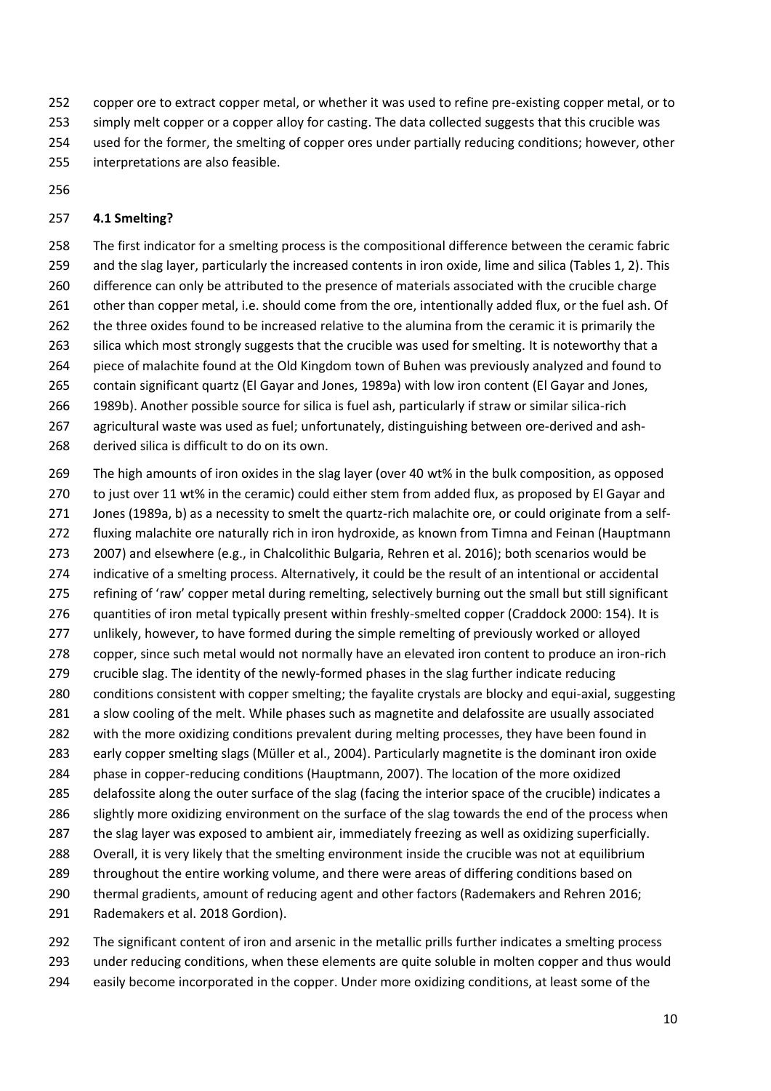- copper ore to extract copper metal, or whether it was used to refine pre-existing copper metal, or to
- simply melt copper or a copper alloy for casting. The data collected suggests that this crucible was
- used for the former, the smelting of copper ores under partially reducing conditions; however, other
- interpretations are also feasible.
- 

## **4.1 Smelting?**

 The first indicator for a smelting process is the compositional difference between the ceramic fabric and the slag layer, particularly the increased contents in iron oxide, lime and silica (Tables 1, 2). This difference can only be attributed to the presence of materials associated with the crucible charge 261 other than copper metal, i.e. should come from the ore, intentionally added flux, or the fuel ash. Of 262 the three oxides found to be increased relative to the alumina from the ceramic it is primarily the 263 silica which most strongly suggests that the crucible was used for smelting. It is noteworthy that a piece of malachite found at the Old Kingdom town of Buhen was previously analyzed and found to contain significant quartz (El Gayar and Jones, 1989a) with low iron content (El Gayar and Jones, 1989b). Another possible source for silica is fuel ash, particularly if straw or similar silica-rich agricultural waste was used as fuel; unfortunately, distinguishing between ore-derived and ash-

- derived silica is difficult to do on its own.
- The high amounts of iron oxides in the slag layer (over 40 wt% in the bulk composition, as opposed to just over 11 wt% in the ceramic) could either stem from added flux, as proposed by El Gayar and Jones (1989a, b) as a necessity to smelt the quartz-rich malachite ore, or could originate from a self- fluxing malachite ore naturally rich in iron hydroxide, as known from Timna and Feinan (Hauptmann 2007) and elsewhere (e.g., in Chalcolithic Bulgaria, Rehren et al. 2016); both scenarios would be indicative of a smelting process. Alternatively, it could be the result of an intentional or accidental refining of 'raw' copper metal during remelting, selectively burning out the small but still significant quantities of iron metal typically present within freshly-smelted copper (Craddock 2000: 154). It is unlikely, however, to have formed during the simple remelting of previously worked or alloyed copper, since such metal would not normally have an elevated iron content to produce an iron-rich crucible slag. The identity of the newly-formed phases in the slag further indicate reducing conditions consistent with copper smelting; the fayalite crystals are blocky and equi-axial, suggesting 281 a slow cooling of the melt. While phases such as magnetite and delafossite are usually associated with the more oxidizing conditions prevalent during melting processes, they have been found in early copper smelting slags (Müller et al., 2004). Particularly magnetite is the dominant iron oxide phase in copper-reducing conditions (Hauptmann, 2007). The location of the more oxidized delafossite along the outer surface of the slag (facing the interior space of the crucible) indicates a 286 slightly more oxidizing environment on the surface of the slag towards the end of the process when the slag layer was exposed to ambient air, immediately freezing as well as oxidizing superficially. Overall, it is very likely that the smelting environment inside the crucible was not at equilibrium 289 throughout the entire working volume, and there were areas of differing conditions based on thermal gradients, amount of reducing agent and other factors (Rademakers and Rehren 2016; Rademakers et al. 2018 Gordion).
- The significant content of iron and arsenic in the metallic prills further indicates a smelting process under reducing conditions, when these elements are quite soluble in molten copper and thus would easily become incorporated in the copper. Under more oxidizing conditions, at least some of the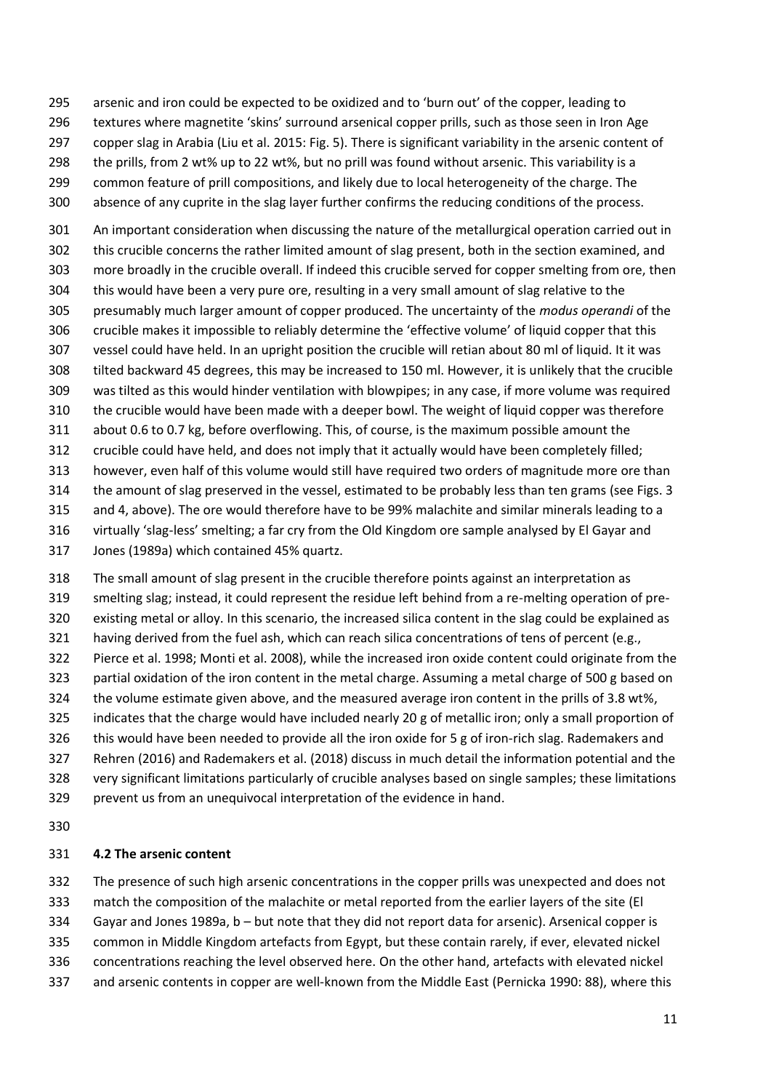arsenic and iron could be expected to be oxidized and to 'burn out' of the copper, leading to

- textures where magnetite 'skins' surround arsenical copper prills, such as those seen in Iron Age
- copper slag in Arabia (Liu et al. 2015: Fig. 5). There is significant variability in the arsenic content of
- the prills, from 2 wt% up to 22 wt%, but no prill was found without arsenic. This variability is a
- 299 common feature of prill compositions, and likely due to local heterogeneity of the charge. The
- absence of any cuprite in the slag layer further confirms the reducing conditions of the process.

 An important consideration when discussing the nature of the metallurgical operation carried out in this crucible concerns the rather limited amount of slag present, both in the section examined, and more broadly in the crucible overall. If indeed this crucible served for copper smelting from ore, then this would have been a very pure ore, resulting in a very small amount of slag relative to the presumably much larger amount of copper produced. The uncertainty of the *modus operandi* of the crucible makes it impossible to reliably determine the 'effective volume' of liquid copper that this vessel could have held. In an upright position the crucible will retian about 80 ml of liquid. It it was tilted backward 45 degrees, this may be increased to 150 ml. However, it is unlikely that the crucible was tilted as this would hinder ventilation with blowpipes; in any case, if more volume was required the crucible would have been made with a deeper bowl. The weight of liquid copper was therefore about 0.6 to 0.7 kg, before overflowing. This, of course, is the maximum possible amount the crucible could have held, and does not imply that it actually would have been completely filled; however, even half of this volume would still have required two orders of magnitude more ore than the amount of slag preserved in the vessel, estimated to be probably less than ten grams (see Figs. 3 and 4, above). The ore would therefore have to be 99% malachite and similar minerals leading to a virtually 'slag-less' smelting; a far cry from the Old Kingdom ore sample analysed by El Gayar and Jones (1989a) which contained 45% quartz.

 The small amount of slag present in the crucible therefore points against an interpretation as smelting slag; instead, it could represent the residue left behind from a re-melting operation of pre- existing metal or alloy. In this scenario, the increased silica content in the slag could be explained as 321 having derived from the fuel ash, which can reach silica concentrations of tens of percent (e.g., Pierce et al. 1998; Monti et al. 2008), while the increased iron oxide content could originate from the partial oxidation of the iron content in the metal charge. Assuming a metal charge of 500 g based on the volume estimate given above, and the measured average iron content in the prills of 3.8 wt%, 325 indicates that the charge would have included nearly 20 g of metallic iron; only a small proportion of this would have been needed to provide all the iron oxide for 5 g of iron-rich slag. Rademakers and Rehren (2016) and Rademakers et al. (2018) discuss in much detail the information potential and the very significant limitations particularly of crucible analyses based on single samples; these limitations prevent us from an unequivocal interpretation of the evidence in hand.

# **4.2 The arsenic content**

The presence of such high arsenic concentrations in the copper prills was unexpected and does not

match the composition of the malachite or metal reported from the earlier layers of the site (El

- Gayar and Jones 1989a, b but note that they did not report data for arsenic). Arsenical copper is
- common in Middle Kingdom artefacts from Egypt, but these contain rarely, if ever, elevated nickel
- concentrations reaching the level observed here. On the other hand, artefacts with elevated nickel
- and arsenic contents in copper are well-known from the Middle East (Pernicka 1990: 88), where this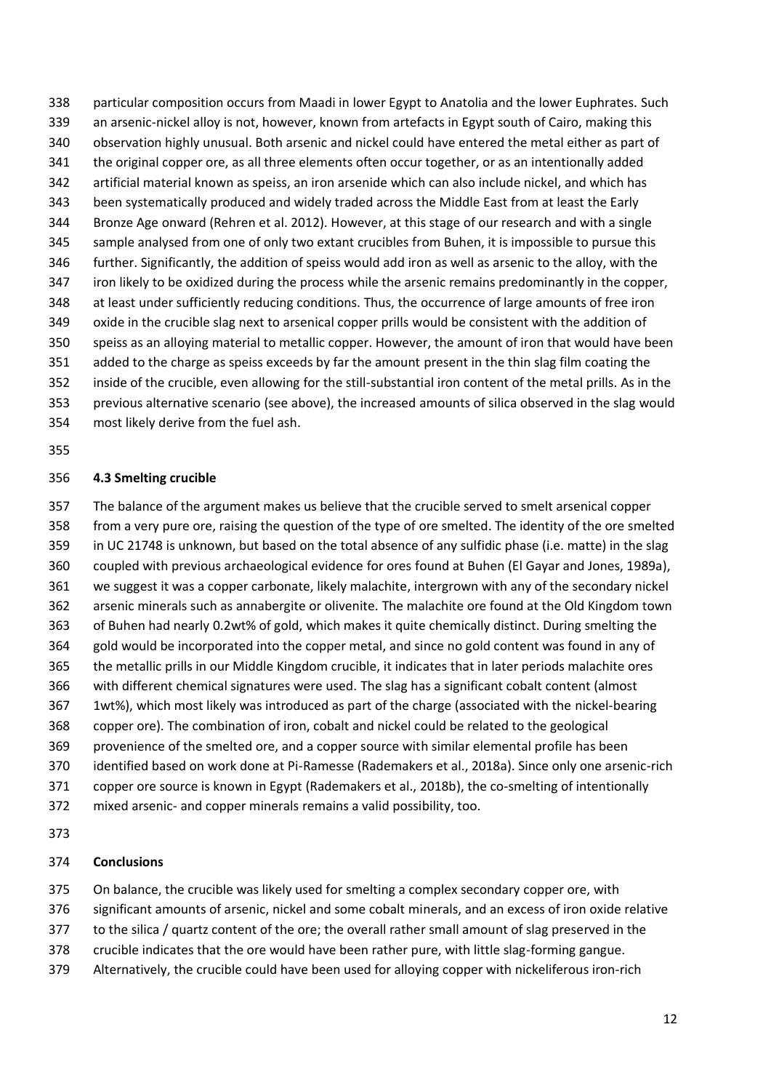particular composition occurs from Maadi in lower Egypt to Anatolia and the lower Euphrates. Such an arsenic-nickel alloy is not, however, known from artefacts in Egypt south of Cairo, making this observation highly unusual. Both arsenic and nickel could have entered the metal either as part of the original copper ore, as all three elements often occur together, or as an intentionally added artificial material known as speiss, an iron arsenide which can also include nickel, and which has been systematically produced and widely traded across the Middle East from at least the Early Bronze Age onward (Rehren et al. 2012). However, at this stage of our research and with a single sample analysed from one of only two extant crucibles from Buhen, it is impossible to pursue this further. Significantly, the addition of speiss would add iron as well as arsenic to the alloy, with the iron likely to be oxidized during the process while the arsenic remains predominantly in the copper, at least under sufficiently reducing conditions. Thus, the occurrence of large amounts of free iron oxide in the crucible slag next to arsenical copper prills would be consistent with the addition of speiss as an alloying material to metallic copper. However, the amount of iron that would have been added to the charge as speiss exceeds by far the amount present in the thin slag film coating the inside of the crucible, even allowing for the still-substantial iron content of the metal prills. As in the previous alternative scenario (see above), the increased amounts of silica observed in the slag would

most likely derive from the fuel ash.

### 

### **4.3 Smelting crucible**

 The balance of the argument makes us believe that the crucible served to smelt arsenical copper from a very pure ore, raising the question of the type of ore smelted. The identity of the ore smelted in UC 21748 is unknown, but based on the total absence of any sulfidic phase (i.e. matte) in the slag coupled with previous archaeological evidence for ores found at Buhen (El Gayar and Jones, 1989a), we suggest it was a copper carbonate, likely malachite, intergrown with any of the secondary nickel arsenic minerals such as annabergite or olivenite. The malachite ore found at the Old Kingdom town of Buhen had nearly 0.2wt% of gold, which makes it quite chemically distinct. During smelting the gold would be incorporated into the copper metal, and since no gold content was found in any of the metallic prills in our Middle Kingdom crucible, it indicates that in later periods malachite ores with different chemical signatures were used. The slag has a significant cobalt content (almost 1wt%), which most likely was introduced as part of the charge (associated with the nickel-bearing copper ore). The combination of iron, cobalt and nickel could be related to the geological provenience of the smelted ore, and a copper source with similar elemental profile has been identified based on work done at Pi-Ramesse (Rademakers et al., 2018a). Since only one arsenic-rich copper ore source is known in Egypt (Rademakers et al., 2018b), the co-smelting of intentionally mixed arsenic- and copper minerals remains a valid possibility, too.

### **Conclusions**

375 On balance, the crucible was likely used for smelting a complex secondary copper ore, with

significant amounts of arsenic, nickel and some cobalt minerals, and an excess of iron oxide relative

- to the silica / quartz content of the ore; the overall rather small amount of slag preserved in the
- crucible indicates that the ore would have been rather pure, with little slag-forming gangue.
- Alternatively, the crucible could have been used for alloying copper with nickeliferous iron-rich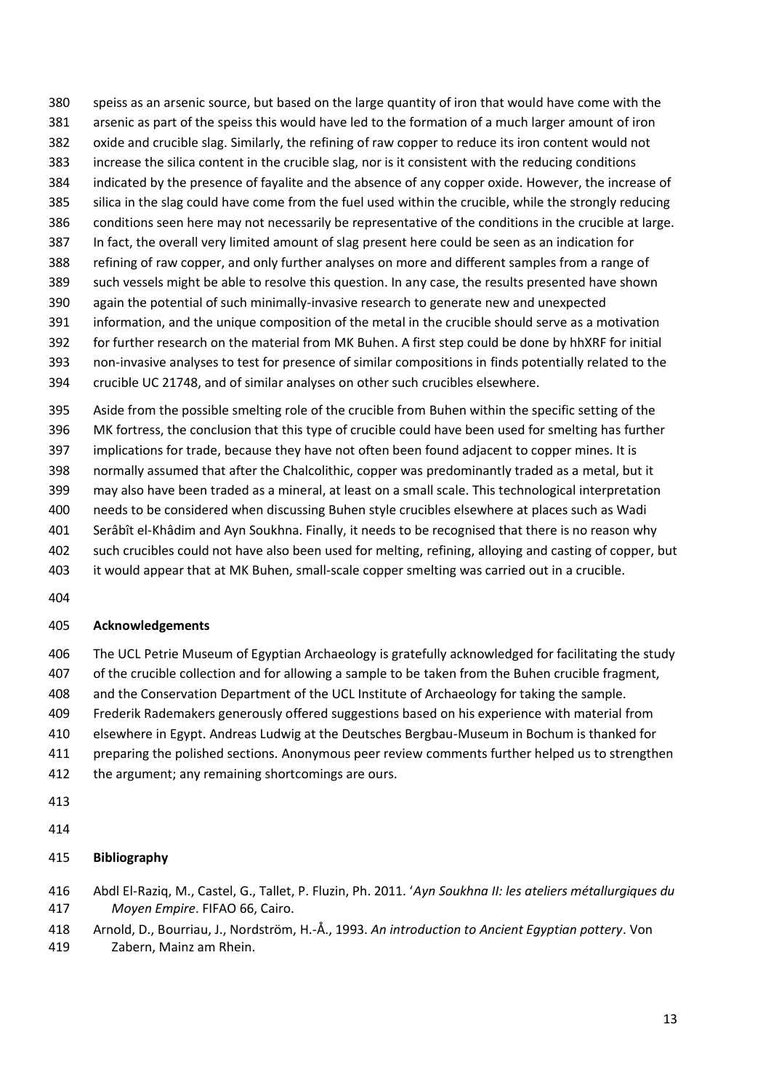- speiss as an arsenic source, but based on the large quantity of iron that would have come with the arsenic as part of the speiss this would have led to the formation of a much larger amount of iron oxide and crucible slag. Similarly, the refining of raw copper to reduce its iron content would not increase the silica content in the crucible slag, nor is it consistent with the reducing conditions indicated by the presence of fayalite and the absence of any copper oxide. However, the increase of silica in the slag could have come from the fuel used within the crucible, while the strongly reducing conditions seen here may not necessarily be representative of the conditions in the crucible at large. In fact, the overall very limited amount of slag present here could be seen as an indication for refining of raw copper, and only further analyses on more and different samples from a range of such vessels might be able to resolve this question. In any case, the results presented have shown again the potential of such minimally-invasive research to generate new and unexpected information, and the unique composition of the metal in the crucible should serve as a motivation for further research on the material from MK Buhen. A first step could be done by hhXRF for initial non-invasive analyses to test for presence of similar compositions in finds potentially related to the crucible UC 21748, and of similar analyses on other such crucibles elsewhere.
- Aside from the possible smelting role of the crucible from Buhen within the specific setting of the MK fortress, the conclusion that this type of crucible could have been used for smelting has further implications for trade, because they have not often been found adjacent to copper mines. It is normally assumed that after the Chalcolithic, copper was predominantly traded as a metal, but it may also have been traded as a mineral, at least on a small scale. This technological interpretation needs to be considered when discussing Buhen style crucibles elsewhere at places such as Wadi Serâbît el-Khâdim and Ayn Soukhna. Finally, it needs to be recognised that there is no reason why such crucibles could not have also been used for melting, refining, alloying and casting of copper, but it would appear that at MK Buhen, small-scale copper smelting was carried out in a crucible.
- 

## **Acknowledgements**

- The UCL Petrie Museum of Egyptian Archaeology is gratefully acknowledged for facilitating the study
- of the crucible collection and for allowing a sample to be taken from the Buhen crucible fragment,
- and the Conservation Department of the UCL Institute of Archaeology for taking the sample.
- Frederik Rademakers generously offered suggestions based on his experience with material from elsewhere in Egypt. Andreas Ludwig at the Deutsches Bergbau-Museum in Bochum is thanked for
- 
- preparing the polished sections. Anonymous peer review comments further helped us to strengthen
- the argument; any remaining shortcomings are ours.
- 

## **Bibliography**

- Abdl El-Raziq, M., Castel, G., Tallet, P. Fluzin, Ph. 2011. '*Ayn Soukhna II: les ateliers métallurgiques du Moyen Empire*. FIFAO 66, Cairo.
- Arnold, D., Bourriau, J., Nordström, H.-Å., 1993. *An introduction to Ancient Egyptian pottery*. Von
- Zabern, Mainz am Rhein.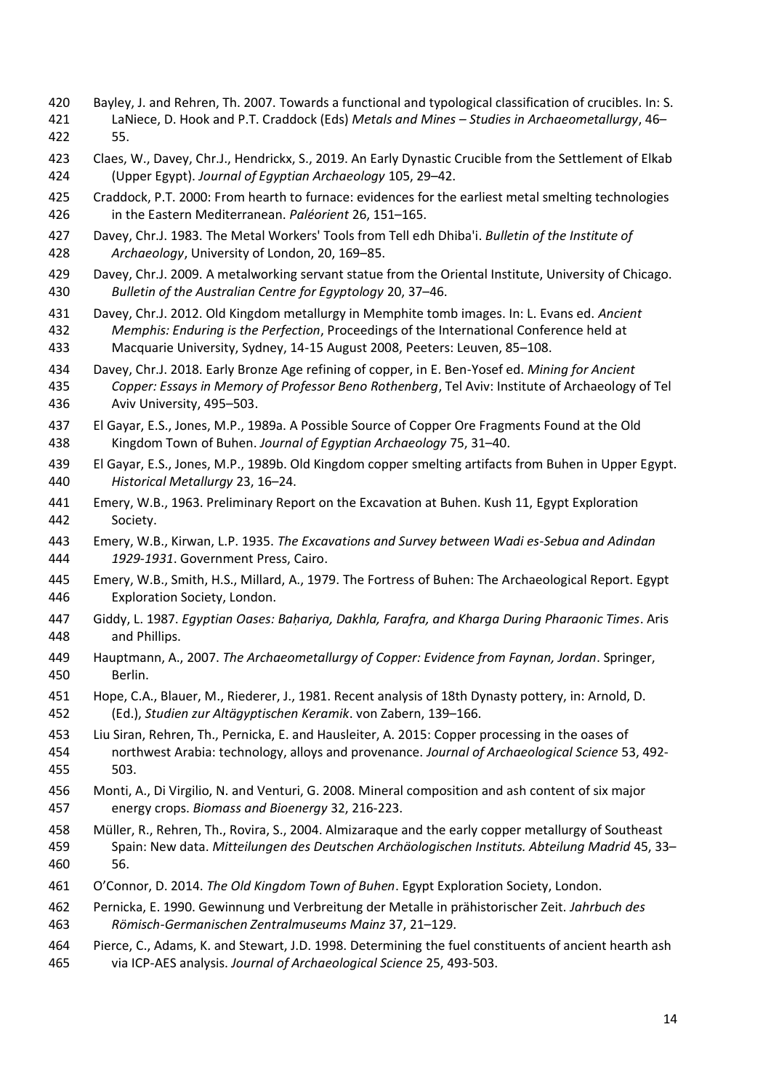- Bayley, J. and Rehren, Th. 2007. Towards a functional and typological classification of crucibles. In: S. LaNiece, D. Hook and P.T. Craddock (Eds) *Metals and Mines – Studies in Archaeometallurgy*, 46– 55.
- Claes, W., Davey, Chr.J., Hendrickx, S., 2019. An Early Dynastic Crucible from the Settlement of Elkab (Upper Egypt). *Journal of Egyptian Archaeology* 105, 29–42.
- Craddock, P.T. 2000: From hearth to furnace: evidences for the earliest metal smelting technologies in the Eastern Mediterranean. *Paléorient* 26, 151–165.
- Davey, Chr.J. 1983. The Metal Workers' Tools from Tell edh Dhiba'i. *Bulletin of the Institute of Archaeology*, University of London, 20, 169–85.
- Davey, Chr.J. 2009. A metalworking servant statue from the Oriental Institute, University of Chicago. *Bulletin of the Australian Centre for Egyptology* 20, 37–46.
- Davey, Chr.J. 2012. Old Kingdom metallurgy in Memphite tomb images. In: L. Evans ed. *Ancient Memphis: Enduring is the Perfection*, Proceedings of the International Conference held at Macquarie University, Sydney, 14-15 August 2008, Peeters: Leuven, 85–108.
- Davey, Chr.J. 2018. Early Bronze Age refining of copper, in E. Ben-Yosef ed. *Mining for Ancient Copper: Essays in Memory of Professor Beno Rothenberg*, Tel Aviv: Institute of Archaeology of Tel Aviv University, 495–503.
- El Gayar, E.S., Jones, M.P., 1989a. A Possible Source of Copper Ore Fragments Found at the Old Kingdom Town of Buhen. *Journal of Egyptian Archaeology* 75, 31–40.
- El Gayar, E.S., Jones, M.P., 1989b. Old Kingdom copper smelting artifacts from Buhen in Upper Egypt. *Historical Metallurgy* 23, 16–24.
- Emery, W.B., 1963. Preliminary Report on the Excavation at Buhen. Kush 11, Egypt Exploration Society.
- Emery, W.B., Kirwan, L.P. 1935. *The Excavations and Survey between Wadi es-Sebua and Adindan 1929-1931*. Government Press, Cairo.
- Emery, W.B., Smith, H.S., Millard, A., 1979. The Fortress of Buhen: The Archaeological Report. Egypt Exploration Society, London.
- Giddy, L. 1987. *Egyptian Oases: Baḥariya, Dakhla, Farafra, and Kharga During Pharaonic Times*. Aris and Phillips.
- Hauptmann, A., 2007. *The Archaeometallurgy of Copper: Evidence from Faynan, Jordan*. Springer, Berlin.
- Hope, C.A., Blauer, M., Riederer, J., 1981. Recent analysis of 18th Dynasty pottery, in: Arnold, D. (Ed.), *Studien zur Altägyptischen Keramik*. von Zabern, 139–166.
- Liu Siran, Rehren, Th., Pernicka, E. and Hausleiter, A. 2015: Copper processing in the oases of northwest Arabia: technology, alloys and provenance. *Journal of Archaeological Science* 53, 492- 503.
- Monti, A., Di Virgilio, N. and Venturi, G. 2008. Mineral composition and ash content of six major energy crops. *Biomass and Bioenergy* 32, 216-223.
- Müller, R., Rehren, Th., Rovira, S., 2004. Almizaraque and the early copper metallurgy of Southeast Spain: New data. *Mitteilungen des Deutschen Archäologischen Instituts. Abteilung Madrid* 45, 33– 56.
- O'Connor, D. 2014. *The Old Kingdom Town of Buhen*. Egypt Exploration Society, London.
- Pernicka, E. 1990. Gewinnung und Verbreitung der Metalle in prähistorischer Zeit. *Jahrbuch des Römisch-Germanischen Zentralmuseums Mainz* 37, 21–129.
- Pierce, C., Adams, K. and Stewart, J.D. 1998. Determining the fuel constituents of ancient hearth ash via ICP-AES analysis. *Journal of Archaeological Science* 25, 493-503.